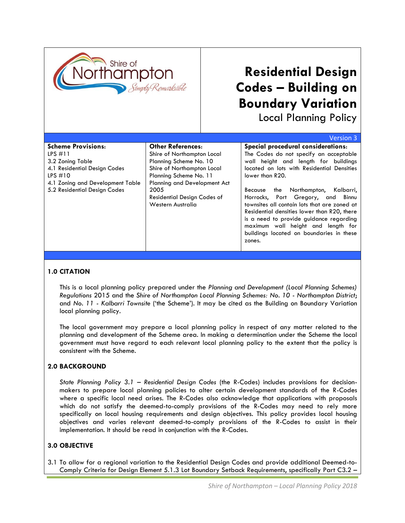

# **Residential Design Codes – Building on Boundary Variation**

Local Planning Policy

|                                  |                              | Version 3                                    |
|----------------------------------|------------------------------|----------------------------------------------|
| <b>Scheme Provisions:</b>        | <b>Other References:</b>     | Special procedural considerations:           |
| LPS $\#11$                       | Shire of Northampton Local   | The Codes do not specify an acceptable       |
| 3.2 Zoning Table                 | Planning Scheme No. 10       | wall height and length for buildings         |
| 4.1 Residential Design Codes     | Shire of Northampton Local   | located on lots with Residential Densities   |
| LPS $#10$                        | Planning Scheme No. 11       | lower than R20.                              |
| 4.1 Zoning and Development Table | Planning and Development Act |                                              |
| 5.2 Residential Design Codes     | 2005                         | the Northampton, Kalbarri,<br>Because        |
|                                  | Residential Design Codes of  | Horrocks, Port Gregory, and Binnu            |
|                                  | Western Australia            | townsites all contain lots that are zoned at |
|                                  |                              | Residential densities lower than R20, there  |
|                                  |                              | is a need to provide guidance regarding      |
|                                  |                              | maximum wall height and length for           |
|                                  |                              | buildings located on boundaries in these     |
|                                  |                              | zones.                                       |
|                                  |                              |                                              |

## **1.0 CITATION**

This is a local planning policy prepared under the *Planning and Development (Local Planning Schemes) Regulations* 2015 and the *Shire of Northampton Local Planning Schemes: No. 10 - Northampton District*; and *No. 11 - Kalbarri Townsite* ('the Scheme'). It may be cited as the Building on Boundary Variation local planning policy.

The local government may prepare a local planning policy in respect of any matter related to the planning and development of the Scheme area. In making a determination under the Scheme the local government must have regard to each relevant local planning policy to the extent that the policy is consistent with the Scheme.

# **2.0 BACKGROUND**

*State Planning Policy 3.1 – Residential Design Codes* (the R-Codes) includes provisions for decisionmakers to prepare local planning policies to alter certain development standards of the R-Codes where a specific local need arises. The R-Codes also acknowledge that applications with proposals which do not satisfy the deemed-to-comply provisions of the R-Codes may need to rely more specifically on local housing requirements and design objectives. This policy provides local housing objectives and varies relevant deemed-to-comply provisions of the R-Codes to assist in their implementation. It should be read in conjunction with the R-Codes.

## **3.0 OBJECTIVE**

3.1 To allow for a regional variation to the Residential Design Codes and provide additional Deemed-to-Comply Criteria for Design Element 5.1.3 Lot Boundary Setback Requirements, specifically Part C3.2 –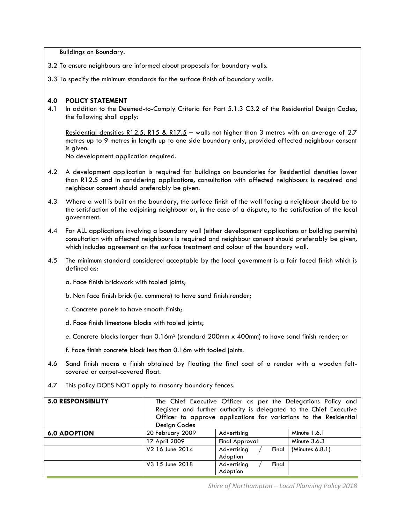Buildings on Boundary.

- 3.2 To ensure neighbours are informed about proposals for boundary walls.
- 3.3 To specify the minimum standards for the surface finish of boundary walls.

#### **4.0 POLICY STATEMENT**

4.1 In addition to the Deemed-to-Comply Criteria for Part 5.1.3 C3.2 of the Residential Design Codes, the following shall apply:

Residential densities R12.5, R15 & R17.5 – walls not higher than 3 metres with an average of 2.7 metres up to 9 metres in length up to one side boundary only, provided affected neighbour consent is given.

No development application required.

- 4.2 A development application is required for buildings on boundaries for Residential densities lower than R12.5 and in considering applications, consultation with affected neighbours is required and neighbour consent should preferably be given.
- 4.3 Where a wall is built on the boundary, the surface finish of the wall facing a neighbour should be to the satisfaction of the adjoining neighbour or, in the case of a dispute, to the satisfaction of the local government.
- 4.4 For ALL applications involving a boundary wall (either development applications or building permits) consultation with affected neighbours is required and neighbour consent should preferably be given, which includes agreement on the surface treatment and colour of the boundary wall.
- 4.5 The minimum standard considered acceptable by the local government is a fair faced finish which is defined as:
	- a. Face finish brickwork with tooled joints;
	- b. Non face finish brick (ie. commons) to have sand finish render;
	- c. Concrete panels to have smooth finish;
	- d. Face finish limestone blocks with tooled joints;
	- e. Concrete blocks larger than 0.16m<sup>2</sup> (standard 200mm x 400mm) to have sand finish render; or
	- f. Face finish concrete block less than 0.16m with tooled joints.
- 4.6 Sand finish means a finish obtained by floating the final coat of a render with a wooden feltcovered or carpet-covered float.
- 4.7 This policy DOES NOT apply to masonry boundary fences.

| <b>5.0 RESPONSIBILITY</b> | Design Codes     | The Chief Executive Officer as per the Delegations Policy and<br>Register and further authority is delegated to the Chief Executive<br>Officer to approve applications for variations to the Residential |                 |
|---------------------------|------------------|----------------------------------------------------------------------------------------------------------------------------------------------------------------------------------------------------------|-----------------|
| <b>6.0 ADOPTION</b>       | 20 February 2009 | Advertising                                                                                                                                                                                              | Minute 1.6.1    |
|                           | 17 April 2009    | <b>Final Approval</b>                                                                                                                                                                                    | Minute $3.6.3$  |
|                           | V2 16 June 2014  | Advertising<br>Final<br>Adoption                                                                                                                                                                         | (Minutes 6.8.1) |
|                           | V3 15 June 2018  | Advertising<br>Final<br>Adoption                                                                                                                                                                         |                 |